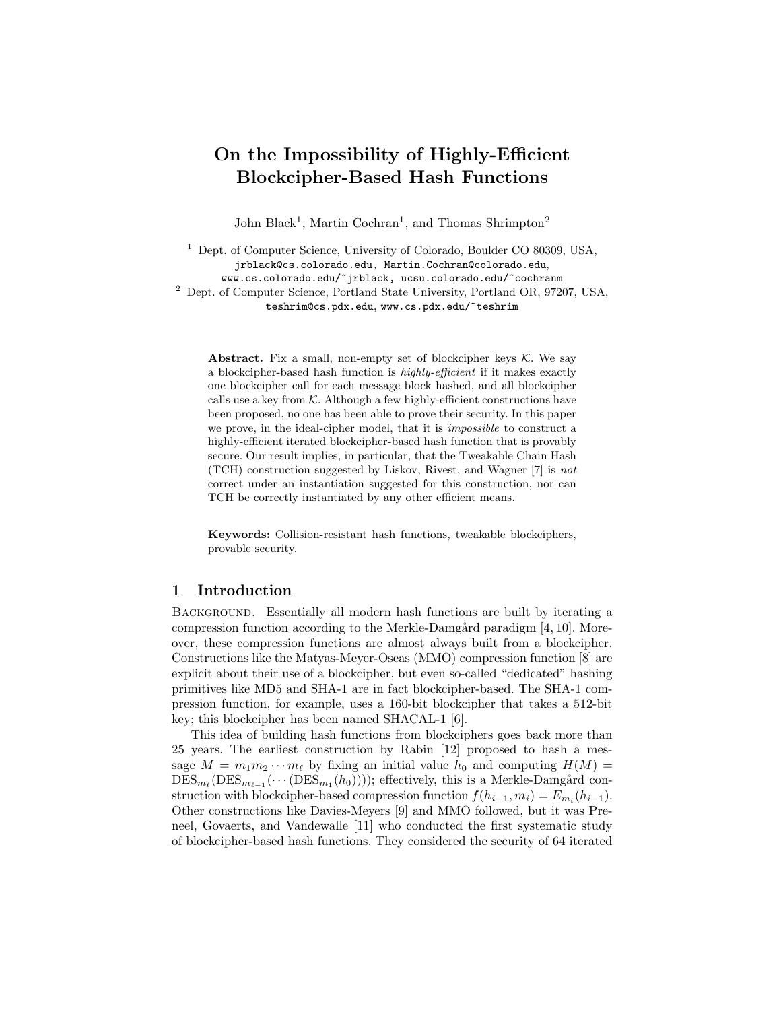# On the Impossibility of Highly-Efficient Blockcipher-Based Hash Functions

John Black<sup>1</sup>, Martin Cochran<sup>1</sup>, and Thomas Shrimpton<sup>2</sup>

<sup>1</sup> Dept. of Computer Science, University of Colorado, Boulder CO 80309, USA, jrblack@cs.colorado.edu, Martin.Cochran@colorado.edu, www.cs.colorado.edu/~jrblack, ucsu.colorado.edu/~cochranm <sup>2</sup> Dept. of Computer Science, Portland State University, Portland OR, 97207, USA, teshrim@cs.pdx.edu, www.cs.pdx.edu/~teshrim

Abstract. Fix a small, non-empty set of blockcipher keys  $K$ . We say a blockcipher-based hash function is highly-efficient if it makes exactly one blockcipher call for each message block hashed, and all blockcipher calls use a key from  $K$ . Although a few highly-efficient constructions have been proposed, no one has been able to prove their security. In this paper we prove, in the ideal-cipher model, that it is impossible to construct a highly-efficient iterated blockcipher-based hash function that is provably secure. Our result implies, in particular, that the Tweakable Chain Hash (TCH) construction suggested by Liskov, Rivest, and Wagner [7] is not correct under an instantiation suggested for this construction, nor can TCH be correctly instantiated by any other efficient means.

Keywords: Collision-resistant hash functions, tweakable blockciphers, provable security.

#### 1 Introduction

Background. Essentially all modern hash functions are built by iterating a compression function according to the Merkle-Damgård paradigm  $[4, 10]$ . Moreover, these compression functions are almost always built from a blockcipher. Constructions like the Matyas-Meyer-Oseas (MMO) compression function [8] are explicit about their use of a blockcipher, but even so-called "dedicated" hashing primitives like MD5 and SHA-1 are in fact blockcipher-based. The SHA-1 compression function, for example, uses a 160-bit blockcipher that takes a 512-bit key; this blockcipher has been named SHACAL-1 [6].

This idea of building hash functions from blockciphers goes back more than 25 years. The earliest construction by Rabin [12] proposed to hash a message  $M = m_1 m_2 \cdots m_\ell$  by fixing an initial value  $h_0$  and computing  $H(M) =$  $\text{DES}_{m_{\ell}}(\text{DES}_{m_{\ell-1}}(\cdots(\text{DES}_{m_1}(h_0))))$ ; effectively, this is a Merkle-Damgård construction with blockcipher-based compression function  $f(h_{i-1}, m_i) = E_{m_i}(h_{i-1}).$ Other constructions like Davies-Meyers [9] and MMO followed, but it was Preneel, Govaerts, and Vandewalle [11] who conducted the first systematic study of blockcipher-based hash functions. They considered the security of 64 iterated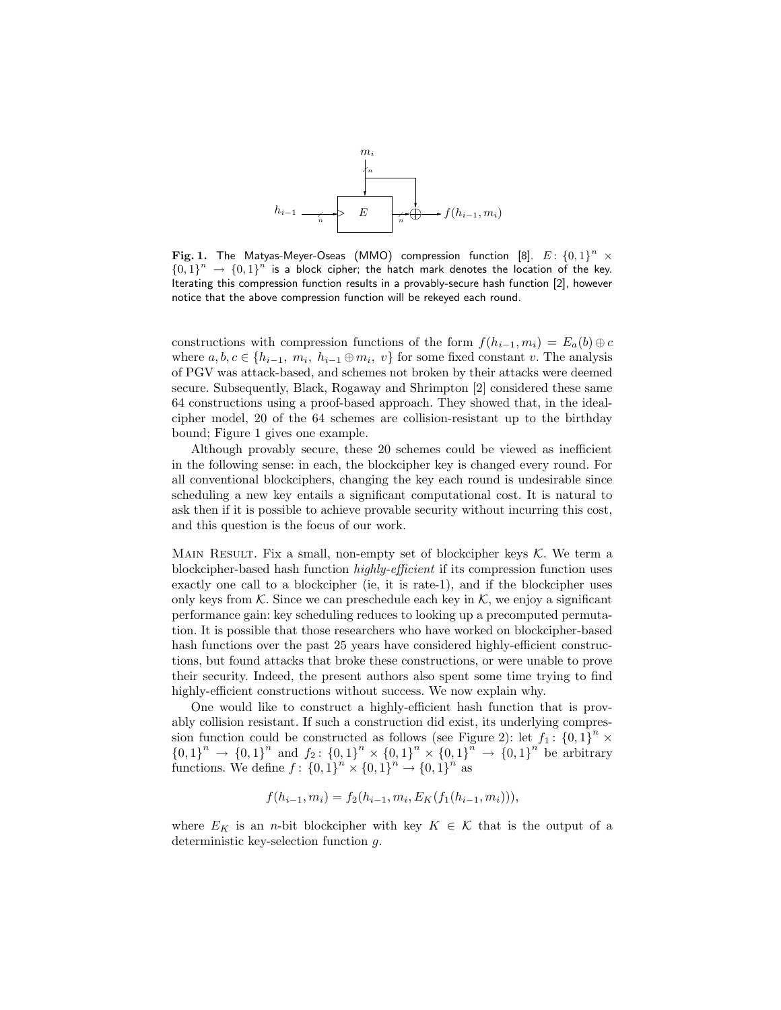

Fig. 1. The Matyas-Meyer-Oseas (MMO) compression function [8].  $E \colon \{0,1\}^n \times$  ${0,1}^n \rightarrow {0,1}^n$  is a block cipher; the hatch mark denotes the location of the key. Iterating this compression function results in a provably-secure hash function [2], however notice that the above compression function will be rekeyed each round.

constructions with compression functions of the form  $f(h_{i-1}, m_i) = E_a(b) \oplus c$ where  $a, b, c \in \{h_{i-1}, m_i, h_{i-1} \oplus m_i, v\}$  for some fixed constant v. The analysis of PGV was attack-based, and schemes not broken by their attacks were deemed secure. Subsequently, Black, Rogaway and Shrimpton [2] considered these same 64 constructions using a proof-based approach. They showed that, in the idealcipher model, 20 of the 64 schemes are collision-resistant up to the birthday bound; Figure 1 gives one example.

Although provably secure, these 20 schemes could be viewed as inefficient in the following sense: in each, the blockcipher key is changed every round. For all conventional blockciphers, changing the key each round is undesirable since scheduling a new key entails a significant computational cost. It is natural to ask then if it is possible to achieve provable security without incurring this cost, and this question is the focus of our work.

MAIN RESULT. Fix a small, non-empty set of blockcipher keys  $K$ . We term a blockcipher-based hash function highly-efficient if its compression function uses exactly one call to a blockcipher (ie, it is rate-1), and if the blockcipher uses only keys from  $\mathcal K$ . Since we can preschedule each key in  $\mathcal K$ , we enjoy a significant performance gain: key scheduling reduces to looking up a precomputed permutation. It is possible that those researchers who have worked on blockcipher-based hash functions over the past 25 years have considered highly-efficient constructions, but found attacks that broke these constructions, or were unable to prove their security. Indeed, the present authors also spent some time trying to find highly-efficient constructions without success. We now explain why.

One would like to construct a highly-efficient hash function that is provably collision resistant. If such a construction did exist, its underlying compression function could be constructed as follows (see Figure 2): let  $f_1$ :  $\{0,1\}^n$  ×  ${0,1}^n \to {0,1}^n$  and  $f_2$ :  ${0,1}^n \times {0,1}^n \times {0,1}^n \to {0,1}^n$  be arbitrary functions. We define  $f: \{0,1\}^n \times \{0,1\}^n \to \{0,1\}^n$  as

$$
f(h_{i-1}, m_i) = f_2(h_{i-1}, m_i, E_K(f_1(h_{i-1}, m_i))),
$$

where  $E_K$  is an *n*-bit blockcipher with key  $K \in \mathcal{K}$  that is the output of a deterministic key-selection function g.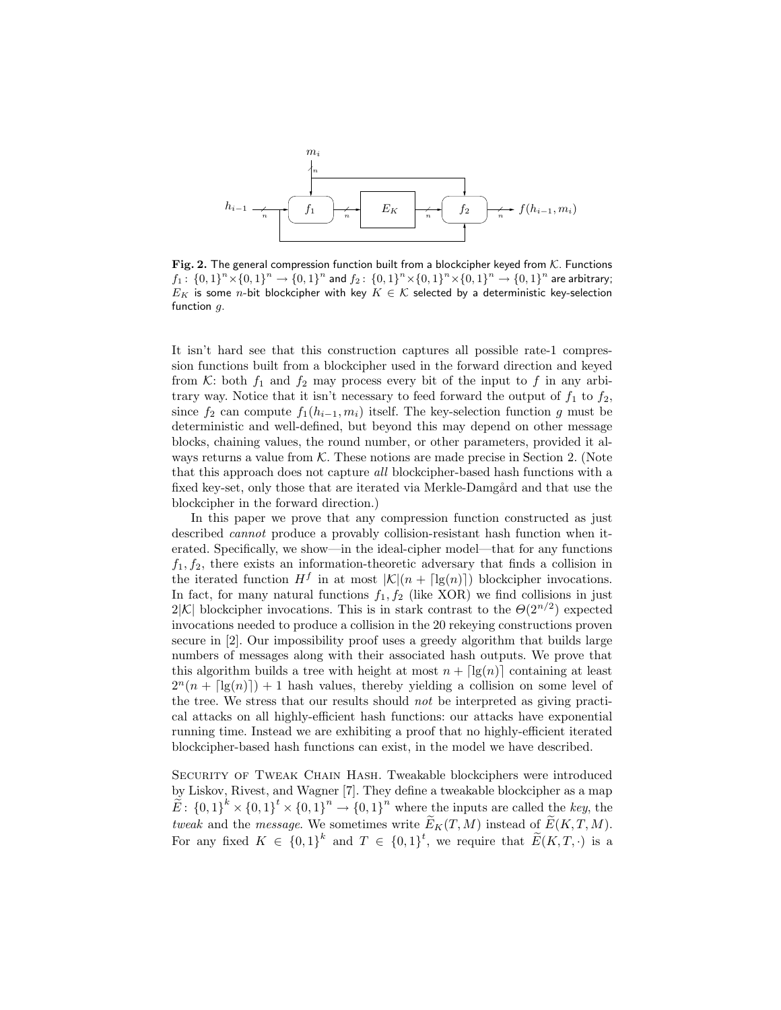

Fig. 2. The general compression function built from a blockcipher keyed from  $K$ . Functions  $f_1\colon \{0,1\}^n \times \{0,1\}^n \to \{0,1\}^n$  and  $f_2\colon \{0,1\}^n \times \{0,1\}^n \times \{0,1\}^n \to \{0,1\}^n$  are arbitrary;  $E_K$  is some *n*-bit blockcipher with key  $K \in \mathcal{K}$  selected by a deterministic key-selection function q.

It isn't hard see that this construction captures all possible rate-1 compression functions built from a blockcipher used in the forward direction and keyed from K: both  $f_1$  and  $f_2$  may process every bit of the input to f in any arbitrary way. Notice that it isn't necessary to feed forward the output of  $f_1$  to  $f_2$ , since  $f_2$  can compute  $f_1(h_{i-1}, m_i)$  itself. The key-selection function g must be deterministic and well-defined, but beyond this may depend on other message blocks, chaining values, the round number, or other parameters, provided it always returns a value from  $K$ . These notions are made precise in Section 2. (Note that this approach does not capture all blockcipher-based hash functions with a fixed key-set, only those that are iterated via Merkle-Damgård and that use the blockcipher in the forward direction.)

In this paper we prove that any compression function constructed as just described cannot produce a provably collision-resistant hash function when iterated. Specifically, we show—in the ideal-cipher model—that for any functions  $f_1, f_2$ , there exists an information-theoretic adversary that finds a collision in the iterated function  $H^f$  in at most  $|\mathcal{K}|(n + \lceil \lg(n) \rceil)$  blockcipher invocations. In fact, for many natural functions  $f_1, f_2$  (like XOR) we find collisions in just  $2|\mathcal{K}|$  blockcipher invocations. This is in stark contrast to the  $\Theta(2^{n/2})$  expected invocations needed to produce a collision in the 20 rekeying constructions proven secure in [2]. Our impossibility proof uses a greedy algorithm that builds large numbers of messages along with their associated hash outputs. We prove that this algorithm builds a tree with height at most  $n + \lfloor \lg(n) \rfloor$  containing at least  $2^{n}(n + \lceil \lg(n) \rceil) + 1$  hash values, thereby yielding a collision on some level of the tree. We stress that our results should not be interpreted as giving practical attacks on all highly-efficient hash functions: our attacks have exponential running time. Instead we are exhibiting a proof that no highly-efficient iterated blockcipher-based hash functions can exist, in the model we have described.

Security of Tweak Chain Hash. Tweakable blockciphers were introduced by Liskov, Rivest, and Wagner [7]. They define a tweakable blockcipher as a map  $\widetilde{E}: \{0,1\}^k \times \{0,1\}^t \times \{0,1\}^n \to \{0,1\}^n$  where the inputs are called the key, the tweak and the *message*. We sometimes write  $\widetilde{E}_K(T,M)$  instead of  $\widetilde{E}(K,T,M)$ . For any fixed  $K \in \{0,1\}^k$  and  $T \in \{0,1\}^t$ , we require that  $\widetilde{E}(K,T,\cdot)$  is a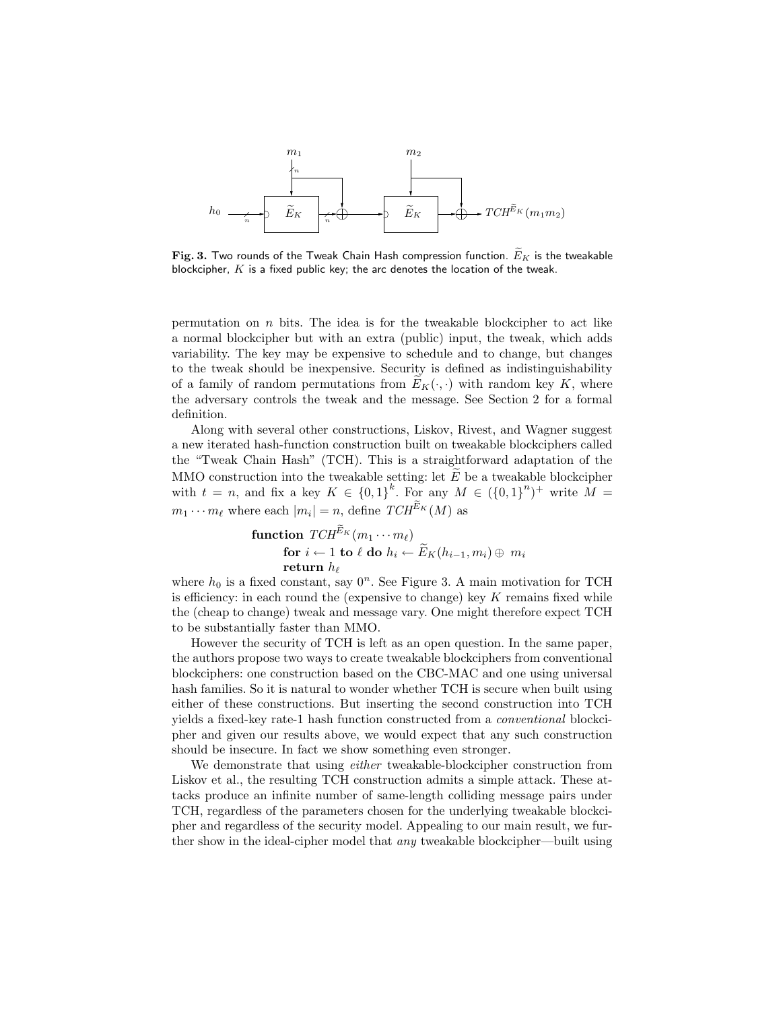

Fig. 3. Two rounds of the Tweak Chain Hash compression function.  $\widetilde{E}_K$  is the tweakable blockcipher,  $K$  is a fixed public key; the arc denotes the location of the tweak.

permutation on  $n$  bits. The idea is for the tweakable blockcipher to act like a normal blockcipher but with an extra (public) input, the tweak, which adds variability. The key may be expensive to schedule and to change, but changes to the tweak should be inexpensive. Security is defined as indistinguishability of a family of random permutations from  $E_K(\cdot, \cdot)$  with random key K, where the adversary controls the tweak and the message. See Section 2 for a formal definition.

Along with several other constructions, Liskov, Rivest, and Wagner suggest a new iterated hash-function construction built on tweakable blockciphers called the "Tweak Chain Hash" (TCH). This is a straightforward adaptation of the MMO construction into the tweakable setting: let  $E$  be a tweakable blockcipher with  $t = n$ , and fix a key  $K \in \{0,1\}^k$ . For any  $M \in (\{0,1\}^n)^+$  write  $M =$  $m_1 \cdots m_\ell$  where each  $|m_i| = n$ , define  $TCH^{\widetilde{E}_K}(M)$  as

function 
$$
\frac{TCH^{\widetilde{E}_K}(m_1 \cdots m_\ell)}{\text{for } i \leftarrow 1 \text{ to } \ell \text{ do } h_i \leftarrow \widetilde{E}_K(h_{i-1}, m_i) \oplus m_i}
$$
 return  $h_\ell$ 

where  $h_0$  is a fixed constant, say  $0<sup>n</sup>$ . See Figure 3. A main motivation for TCH is efficiency: in each round the (expensive to change) key  $K$  remains fixed while the (cheap to change) tweak and message vary. One might therefore expect TCH to be substantially faster than MMO.

However the security of TCH is left as an open question. In the same paper, the authors propose two ways to create tweakable blockciphers from conventional blockciphers: one construction based on the CBC-MAC and one using universal hash families. So it is natural to wonder whether TCH is secure when built using either of these constructions. But inserting the second construction into TCH yields a fixed-key rate-1 hash function constructed from a conventional blockcipher and given our results above, we would expect that any such construction should be insecure. In fact we show something even stronger.

We demonstrate that using either tweakable-blockcipher construction from Liskov et al., the resulting TCH construction admits a simple attack. These attacks produce an infinite number of same-length colliding message pairs under TCH, regardless of the parameters chosen for the underlying tweakable blockcipher and regardless of the security model. Appealing to our main result, we further show in the ideal-cipher model that any tweakable blockcipher—built using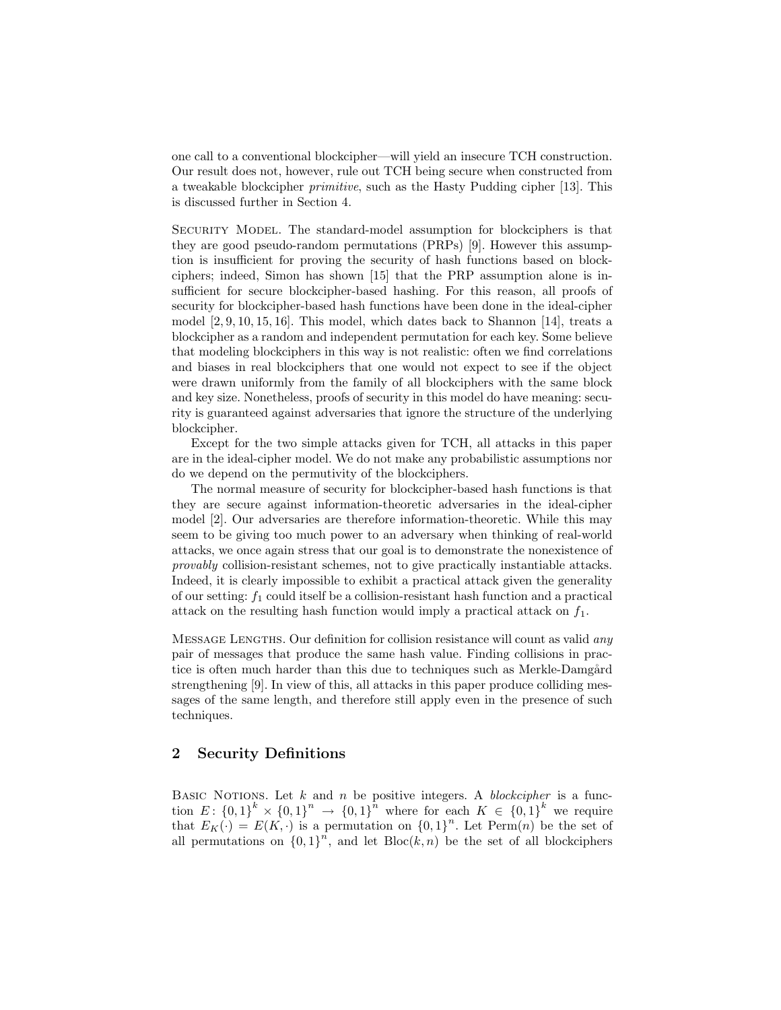one call to a conventional blockcipher—will yield an insecure TCH construction. Our result does not, however, rule out TCH being secure when constructed from a tweakable blockcipher primitive, such as the Hasty Pudding cipher [13]. This is discussed further in Section 4.

SECURITY MODEL. The standard-model assumption for blockciphers is that they are good pseudo-random permutations (PRPs) [9]. However this assumption is insufficient for proving the security of hash functions based on blockciphers; indeed, Simon has shown [15] that the PRP assumption alone is insufficient for secure blockcipher-based hashing. For this reason, all proofs of security for blockcipher-based hash functions have been done in the ideal-cipher model [2, 9, 10, 15, 16]. This model, which dates back to Shannon [14], treats a blockcipher as a random and independent permutation for each key. Some believe that modeling blockciphers in this way is not realistic: often we find correlations and biases in real blockciphers that one would not expect to see if the object were drawn uniformly from the family of all blockciphers with the same block and key size. Nonetheless, proofs of security in this model do have meaning: security is guaranteed against adversaries that ignore the structure of the underlying blockcipher.

Except for the two simple attacks given for TCH, all attacks in this paper are in the ideal-cipher model. We do not make any probabilistic assumptions nor do we depend on the permutivity of the blockciphers.

The normal measure of security for blockcipher-based hash functions is that they are secure against information-theoretic adversaries in the ideal-cipher model [2]. Our adversaries are therefore information-theoretic. While this may seem to be giving too much power to an adversary when thinking of real-world attacks, we once again stress that our goal is to demonstrate the nonexistence of provably collision-resistant schemes, not to give practically instantiable attacks. Indeed, it is clearly impossible to exhibit a practical attack given the generality of our setting:  $f_1$  could itself be a collision-resistant hash function and a practical attack on the resulting hash function would imply a practical attack on  $f_1$ .

MESSAGE LENGTHS. Our definition for collision resistance will count as valid any pair of messages that produce the same hash value. Finding collisions in practice is often much harder than this due to techniques such as Merkle-Damgård strengthening [9]. In view of this, all attacks in this paper produce colliding messages of the same length, and therefore still apply even in the presence of such techniques.

# 2 Security Definitions

BASIC NOTIONS. Let  $k$  and  $n$  be positive integers. A *blockcipher* is a function  $E: \{0,1\}^k \times \{0,1\}^n \rightarrow \{0,1\}^n$  where for each  $K \in \{0,1\}^k$  we require that  $E_K(\cdot) = E(K, \cdot)$  is a permutation on  $\{0,1\}^n$ . Let Perm $(n)$  be the set of all permutations on  $\{0,1\}^n$ , and let  $Bloc(k,n)$  be the set of all blockciphers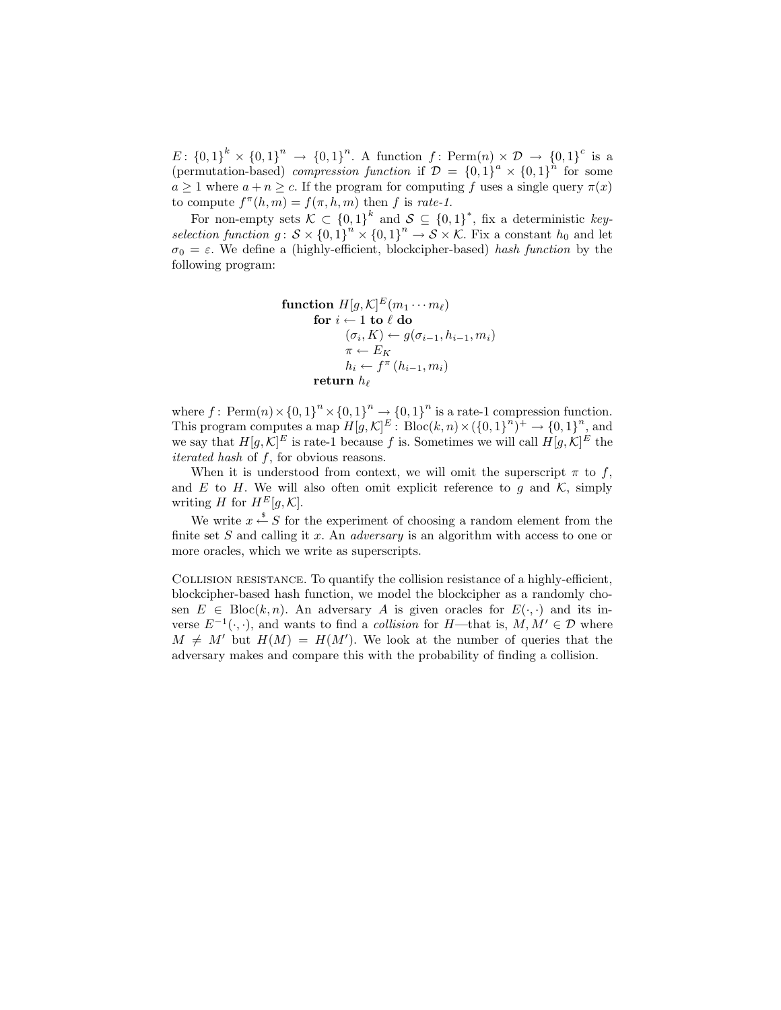$E: \{0,1\}^k \times \{0,1\}^n \rightarrow \{0,1\}^n$ . A function  $f: \text{Perm}(n) \times \mathcal{D} \rightarrow \{0,1\}^c$  is a (permutation-based) compression function if  $\mathcal{D} = \{0,1\}^a \times \{0,1\}^n$  for some  $a \geq 1$  where  $a + n \geq c$ . If the program for computing f uses a single query  $\pi(x)$ to compute  $f^{\pi}(h,m) = f(\pi, h, m)$  then f is rate-1.

For non-empty sets  $\mathcal{K} \subset \{0,1\}^k$  and  $\mathcal{S} \subseteq \{0,1\}^*$ , fix a deterministic keyselection function  $g: \mathcal{S} \times \{0,1\}^n \times \{0,1\}^n \to \mathcal{S} \times \mathcal{K}$ . Fix a constant  $h_0$  and let  $\sigma_0 = \varepsilon$ . We define a (highly-efficient, blockcipher-based) hash function by the following program:

function 
$$
H[g, K]^E(m_1 \cdots m_\ell)
$$
  
\nfor  $i \leftarrow 1$  to  $\ell$  do  
\n $(\sigma_i, K) \leftarrow g(\sigma_{i-1}, h_{i-1}, m_i)$   
\n $\pi \leftarrow E_K$   
\n $h_i \leftarrow f^\pi(h_{i-1}, m_i)$   
\nreturn  $h_\ell$ 

where  $f$ :  $\text{Perm}(n) \times \{0, 1\}^n \times \{0, 1\}^n \to \{0, 1\}^n$  is a rate-1 compression function. This program computes a map  $H[g,\mathcal{K}]^E$ : Bloc $(k,n)\times(\{0,1\}^n)^+ \to \{0,1\}^n$ , and we say that  $H[g, K]^E$  is rate-1 because f is. Sometimes we will call  $H[g, K]^E$  the iterated hash of f, for obvious reasons.

When it is understood from context, we will omit the superscript  $\pi$  to  $f$ , and E to H. We will also often omit explicit reference to q and  $\mathcal{K}$ , simply writing H for  $H^E[g, K]$ .

We write  $x \stackrel{\$}{\leftarrow} S$  for the experiment of choosing a random element from the finite set  $S$  and calling it  $x$ . An *adversary* is an algorithm with access to one or more oracles, which we write as superscripts.

Collision resistance. To quantify the collision resistance of a highly-efficient, blockcipher-based hash function, we model the blockcipher as a randomly chosen  $E \in \text{Bloc}(k, n)$ . An adversary A is given oracles for  $E(\cdot, \cdot)$  and its inverse  $E^{-1}(\cdot, \cdot)$ , and wants to find a *collision* for H—that is,  $M, M' \in \mathcal{D}$  where  $M \neq M'$  but  $H(M) = H(M')$ . We look at the number of queries that the adversary makes and compare this with the probability of finding a collision.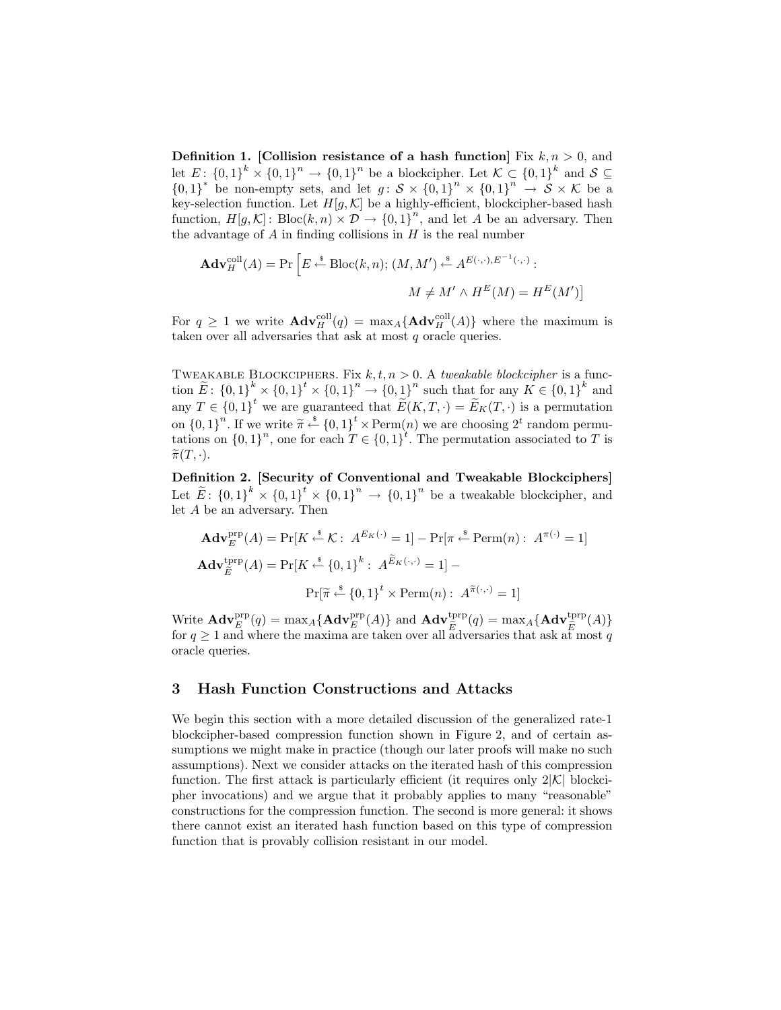**Definition 1. [Collision resistance of a hash function]** Fix  $k, n > 0$ , and let  $E: \{0,1\}^k \times \{0,1\}^n \to \{0,1\}^n$  be a blockcipher. Let  $\mathcal{K} \subset \{0,1\}^k$  and  $\mathcal{S} \subseteq$  ${0,1}^*$  be non-empty sets, and let  $g: \mathcal{S} \times \{0,1\}^n \times \{0,1\}^n \to \mathcal{S} \times \mathcal{K}$  be a key-selection function. Let  $H[g, K]$  be a highly-efficient, blockcipher-based hash function,  $H[g,\mathcal{K}]$ : Bloc $(k,n) \times \mathcal{D} \to \{0,1\}^n$ , and let A be an adversary. Then the advantage of  $A$  in finding collisions in  $H$  is the real number

$$
\mathbf{Adv}_{H}^{\text{coll}}(A) = \Pr\left[E \xleftarrow{\$} \text{Bloc}(k, n); (M, M') \xleftarrow{\$} A^{E(\cdot, \cdot), E^{-1}(\cdot, \cdot)}: \right. \\
M \neq M' \wedge H^{E}(M) = H^{E}(M')\right]
$$

For  $q \geq 1$  we write  $\mathbf{Adv}_{H}^{coll}(q) = \max_{A} {\mathbf{Adv}_{H}^{coll}(A)}$  where the maximum is taken over all adversaries that ask at most  $q$  oracle queries.

TWEAKABLE BLOCKCIPHERS. Fix  $k, t, n > 0$ . A tweakable blockcipher is a function  $\widetilde{E}: \{0,1\}^k \times \{0,1\}^t \times \{0,1\}^n \to \{0,1\}^n$  such that for any  $K \in \{0,1\}^k$  and any  $T \in \{0,1\}^t$  we are guaranteed that  $\widetilde{E}(K,T,\cdot) = \widetilde{E}_K(T,\cdot)$  is a permutation on  $\{0,1\}^n$ . If we write  $\widetilde{\pi} \stackrel{\$}{\leftarrow} \{0,1\}^t \times \text{Perm}(n)$  we are choosing  $2^t$  random permutations on  ${0,1}^n$ , one for each  $T \in {0,1}^t$ . The permutation associated to T is  $\widetilde{\pi}(T, \cdot).$ 

Definition 2. [Security of Conventional and Tweakable Blockciphers] Let  $\tilde{E}$ :  $\{0,1\}^k \times \{0,1\}^t \times \{0,1\}^n \to \{0,1\}^n$  be a tweakable blockcipher, and let A be an adversary. Then

$$
\mathbf{Adv}_{E}^{\text{prp}}(A) = \Pr[K \stackrel{\text{s}}{\leftarrow} \mathcal{K}: A^{E_{K}(\cdot)} = 1] - \Pr[\pi \stackrel{\text{s}}{\leftarrow} \text{Perm}(n): A^{\pi(\cdot)} = 1]
$$
\n
$$
\mathbf{Adv}_{\tilde{E}}^{\text{trp}}(A) = \Pr[K \stackrel{\text{s}}{\leftarrow} \{0, 1\}^{k}: A^{\tilde{E}_{K}(\cdot, \cdot)} = 1] -
$$
\n
$$
\Pr[\tilde{\pi} \stackrel{\text{s}}{\leftarrow} \{0, 1\}^{t} \times \text{Perm}(n): A^{\tilde{\pi}(\cdot, \cdot)} = 1]
$$

Write  $\mathbf{Adv}_{E}^{\text{prp}}(q) = \max_{A} \{ \mathbf{Adv}_{E}^{\text{prp}}(A) \}$  and  $\mathbf{Adv}_{E}^{\text{prp}}(q) = \max_{A} \{ \mathbf{Adv}_{E}^{\text{prp}}(A) \}$ for  $q \ge 1$  and where the maxima are taken over all adversaries that ask at most q oracle queries.

#### 3 Hash Function Constructions and Attacks

We begin this section with a more detailed discussion of the generalized rate-1 blockcipher-based compression function shown in Figure 2, and of certain assumptions we might make in practice (though our later proofs will make no such assumptions). Next we consider attacks on the iterated hash of this compression function. The first attack is particularly efficient (it requires only  $2|\mathcal{K}|$  blockcipher invocations) and we argue that it probably applies to many "reasonable" constructions for the compression function. The second is more general: it shows there cannot exist an iterated hash function based on this type of compression function that is provably collision resistant in our model.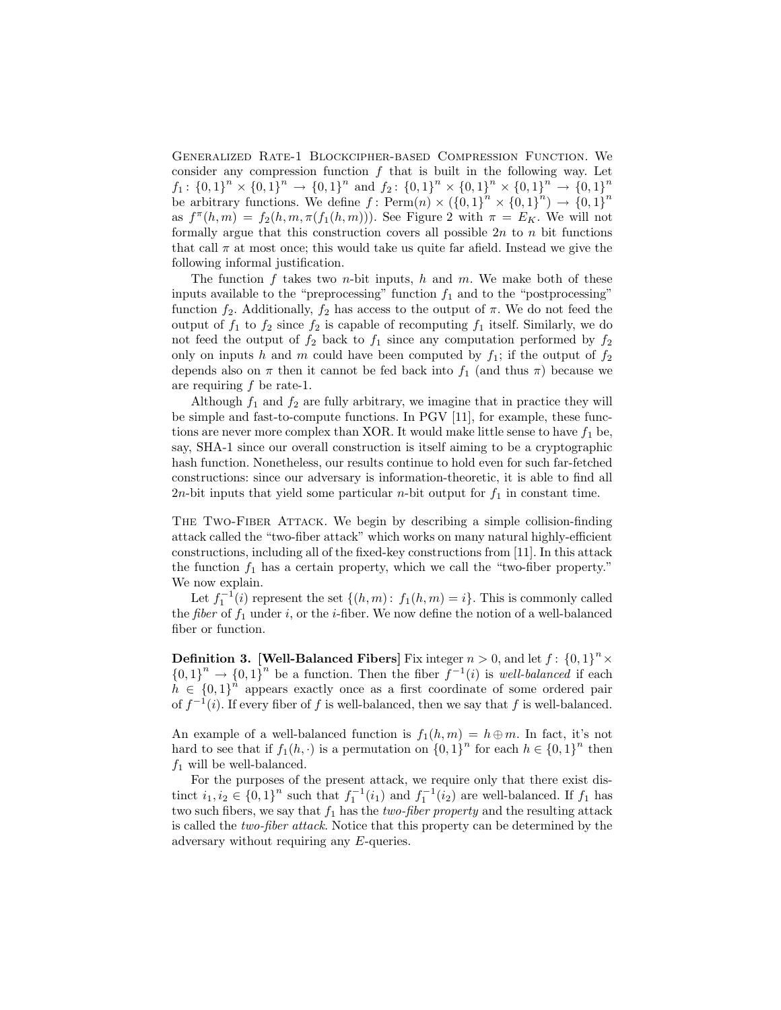Generalized Rate-1 Blockcipher-based Compression Function. We consider any compression function  $f$  that is built in the following way. Let  $f_1: \{0,1\}^n \times \{0,1\}^n \to \{0,1\}^n$  and  $f_2: \{0,1\}^n \times \{0,1\}^n \times \{0,1\}^n \to \{0,1\}^n$ be arbitrary functions. We define  $f: \text{Perm}(n) \times (\{0,1\}^n \times \{0,1\}^n) \rightarrow \{0,1\}^n$ as  $f^{\pi}(h,m) = f_2(h,m,\pi(f_1(h,m)))$ . See Figure 2 with  $\pi = E_K$ . We will not formally argue that this construction covers all possible  $2n$  to n bit functions that call  $\pi$  at most once; this would take us quite far afield. Instead we give the following informal justification.

The function  $f$  takes two *n*-bit inputs,  $h$  and  $m$ . We make both of these inputs available to the "preprocessing" function  $f_1$  and to the "postprocessing" function  $f_2$ . Additionally,  $f_2$  has access to the output of  $\pi$ . We do not feed the output of  $f_1$  to  $f_2$  since  $f_2$  is capable of recomputing  $f_1$  itself. Similarly, we do not feed the output of  $f_2$  back to  $f_1$  since any computation performed by  $f_2$ only on inputs h and m could have been computed by  $f_1$ ; if the output of  $f_2$ depends also on  $\pi$  then it cannot be fed back into  $f_1$  (and thus  $\pi$ ) because we are requiring  $f$  be rate-1.

Although  $f_1$  and  $f_2$  are fully arbitrary, we imagine that in practice they will be simple and fast-to-compute functions. In PGV [11], for example, these functions are never more complex than XOR. It would make little sense to have  $f_1$  be, say, SHA-1 since our overall construction is itself aiming to be a cryptographic hash function. Nonetheless, our results continue to hold even for such far-fetched constructions: since our adversary is information-theoretic, it is able to find all 2n-bit inputs that yield some particular n-bit output for  $f_1$  in constant time.

The Two-Fiber Attack. We begin by describing a simple collision-finding attack called the "two-fiber attack" which works on many natural highly-efficient constructions, including all of the fixed-key constructions from [11]. In this attack the function  $f_1$  has a certain property, which we call the "two-fiber property." We now explain.

Let  $f_1^{-1}(i)$  represent the set  $\{(h,m): f_1(h,m) = i\}$ . This is commonly called the *fiber* of  $f_1$  under i, or the *i*-fiber. We now define the notion of a well-balanced fiber or function.

**Definition 3. [Well-Balanced Fibers]** Fix integer  $n > 0$ , and let  $f: \{0,1\}^n \times$  ${0,1}^n \rightarrow {0,1}^n$  be a function. Then the fiber  $f^{-1}(i)$  is well-balanced if each  $h \in \{0,1\}^n$  appears exactly once as a first coordinate of some ordered pair of  $f^{-1}(i)$ . If every fiber of f is well-balanced, then we say that f is well-balanced.

An example of a well-balanced function is  $f_1(h,m) = h \oplus m$ . In fact, it's not hard to see that if  $f_1(h, \cdot)$  is a permutation on  $\{0, 1\}^n$  for each  $h \in \{0, 1\}^n$  then  $f_1$  will be well-balanced.

For the purposes of the present attack, we require only that there exist distinct  $i_1, i_2 \in \{0,1\}^n$  such that  $f_1^{-1}(i_1)$  and  $f_1^{-1}(i_2)$  are well-balanced. If  $f_1$  has two such fibers, we say that  $f_1$  has the *two-fiber property* and the resulting attack is called the two-fiber attack. Notice that this property can be determined by the adversary without requiring any E-queries.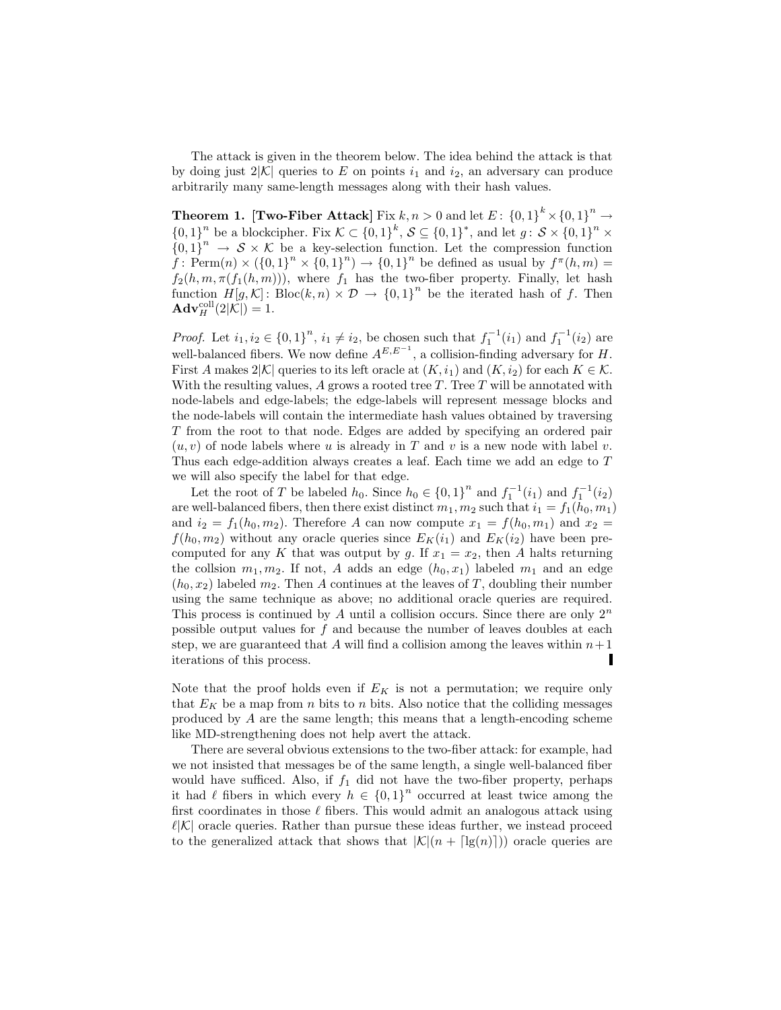The attack is given in the theorem below. The idea behind the attack is that by doing just  $2|\mathcal{K}|$  queries to E on points  $i_1$  and  $i_2$ , an adversary can produce arbitrarily many same-length messages along with their hash values.

**Theorem 1. [Two-Fiber Attack]** Fix  $k, n > 0$  and let  $E: \{0,1\}^k \times \{0,1\}^n \rightarrow$  ${0,1}^n$  be a blockcipher. Fix  $\mathcal{K} \subset {0,1}^k$ ,  $\mathcal{S} \subseteq {0,1}^*$ , and let  $g: \mathcal{S} \times {0,1}^n \times$  ${0,1}^n \rightarrow S \times K$  be a key-selection function. Let the compression function f:  $\text{Perm}(n) \times (\{0,1\}^n \times \{0,1\}^n) \to \{0,1\}^n$  be defined as usual by  $f^{\pi}(h,m) =$  $f_2(h, m, \pi(f_1(h,m)))$ , where  $f_1$  has the two-fiber property. Finally, let hash function  $H[g,\mathcal{K}]$ : Bloc $(k,n) \times \mathcal{D} \to {0,1}^n$  be the iterated hash of f. Then  $\mathbf{Adv}_{H}^{\text{coll}}(2|\mathcal{K}|) = 1.$ 

*Proof.* Let  $i_1, i_2 \in \{0, 1\}^n$ ,  $i_1 \neq i_2$ , be chosen such that  $f_1^{-1}(i_1)$  and  $f_1^{-1}(i_2)$  are well-balanced fibers. We now define  $A^{E,E^{-1}}$ , a collision-finding adversary for H. First A makes  $2|\mathcal{K}|$  queries to its left oracle at  $(K,i_1)$  and  $(K,i_2)$  for each  $K \in \mathcal{K}$ . With the resulting values,  $A$  grows a rooted tree  $T$ . Tree  $T$  will be annotated with node-labels and edge-labels; the edge-labels will represent message blocks and the node-labels will contain the intermediate hash values obtained by traversing T from the root to that node. Edges are added by specifying an ordered pair  $(u, v)$  of node labels where u is already in T and v is a new node with label v. Thus each edge-addition always creates a leaf. Each time we add an edge to T we will also specify the label for that edge.

Let the root of T be labeled  $h_0$ . Since  $h_0 \in \{0,1\}^n$  and  $f_1^{-1}(i_1)$  and  $f_1^{-1}(i_2)$ are well-balanced fibers, then there exist distinct  $m_1, m_2$  such that  $i_1 = f_1(h_0, m_1)$ and  $i_2 = f_1(h_0, m_2)$ . Therefore A can now compute  $x_1 = f(h_0, m_1)$  and  $x_2 = f_1(h_0, m_2)$ .  $f(h_0, m_2)$  without any oracle queries since  $E_K(i_1)$  and  $E_K(i_2)$  have been precomputed for any K that was output by g. If  $x_1 = x_2$ , then A halts returning the collsion  $m_1, m_2$ . If not, A adds an edge  $(h_0, x_1)$  labeled  $m_1$  and an edge  $(h_0, x_2)$  labeled  $m_2$ . Then A continues at the leaves of T, doubling their number using the same technique as above; no additional oracle queries are required. This process is continued by  $A$  until a collision occurs. Since there are only  $2^n$ possible output values for  $f$  and because the number of leaves doubles at each step, we are guaranteed that A will find a collision among the leaves within  $n+1$ iterations of this process.

Note that the proof holds even if  $E_K$  is not a permutation; we require only that  $E_K$  be a map from n bits to n bits. Also notice that the colliding messages produced by  $A$  are the same length; this means that a length-encoding scheme like MD-strengthening does not help avert the attack.

There are several obvious extensions to the two-fiber attack: for example, had we not insisted that messages be of the same length, a single well-balanced fiber would have sufficed. Also, if  $f_1$  did not have the two-fiber property, perhaps it had  $\ell$  fibers in which every  $h \in \{0,1\}^n$  occurred at least twice among the first coordinates in those  $\ell$  fibers. This would admit an analogous attack using  $\ell|\mathcal{K}|$  oracle queries. Rather than pursue these ideas further, we instead proceed to the generalized attack that shows that  $|\mathcal{K}|(n + \lceil \lg(n) \rceil)$  oracle queries are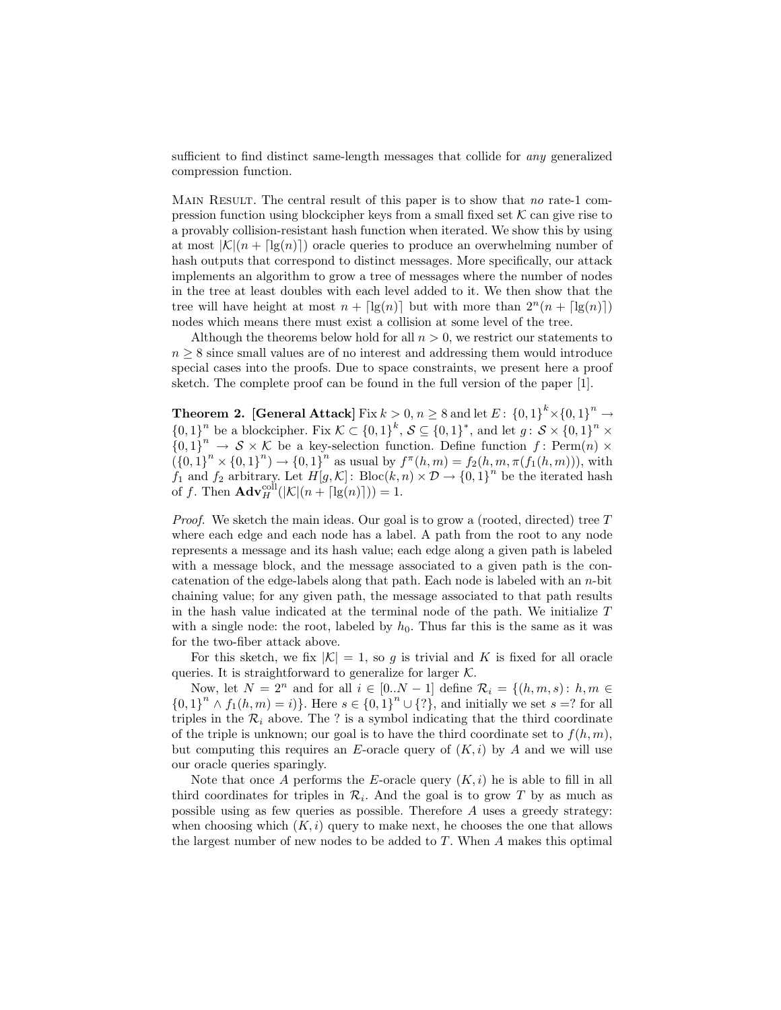sufficient to find distinct same-length messages that collide for any generalized compression function.

MAIN RESULT. The central result of this paper is to show that no rate-1 compression function using blockcipher keys from a small fixed set  $K$  can give rise to a provably collision-resistant hash function when iterated. We show this by using at most  $|\mathcal{K}|(n + \lceil \lg(n) \rceil)$  oracle queries to produce an overwhelming number of hash outputs that correspond to distinct messages. More specifically, our attack implements an algorithm to grow a tree of messages where the number of nodes in the tree at least doubles with each level added to it. We then show that the tree will have height at most  $n + \lfloor \lg(n) \rfloor$  but with more than  $2^n(n + \lfloor \lg(n) \rfloor)$ nodes which means there must exist a collision at some level of the tree.

Although the theorems below hold for all  $n > 0$ , we restrict our statements to  $n \geq 8$  since small values are of no interest and addressing them would introduce special cases into the proofs. Due to space constraints, we present here a proof sketch. The complete proof can be found in the full version of the paper [1].

**Theorem 2.** [General Attack] Fix  $k > 0, n \geq 8$  and let  $E: \{0,1\}^k \times \{0,1\}^n \rightarrow$  ${0,1}^n$  be a blockcipher. Fix  $\mathcal{K} \subset {0,1}^k$ ,  $\mathcal{S} \subseteq {0,1}^*$ , and let  $g: \mathcal{S} \times {0,1}^n \times$  ${0,1}^n \rightarrow S \times K$  be a key-selection function. Define function  $f: \text{Perm}(n) \times$  $({0,1}^n \times {0,1}^n) \to {0,1}^n$  as usual by  $f^{\pi}(h,m) = f_2(h,m,\pi(f_1(h,m))),$  with  $f_1$  and  $f_2$  arbitrary. Let  $H[g, \mathcal{K}]$ : Bloc $(k, n) \times \mathcal{D} \to \{0, 1\}^n$  be the iterated hash of f. Then  $\mathbf{Adv}_{H}^{\text{coll}}(|\mathcal{K}|(n + \lceil \lg(n)\rceil)) = 1.$ 

*Proof.* We sketch the main ideas. Our goal is to grow a (rooted, directed) tree  $T$ where each edge and each node has a label. A path from the root to any node represents a message and its hash value; each edge along a given path is labeled with a message block, and the message associated to a given path is the concatenation of the edge-labels along that path. Each node is labeled with an  $n$ -bit chaining value; for any given path, the message associated to that path results in the hash value indicated at the terminal node of the path. We initialize  $T$ with a single node: the root, labeled by  $h_0$ . Thus far this is the same as it was for the two-fiber attack above.

For this sketch, we fix  $|K| = 1$ , so g is trivial and K is fixed for all oracle queries. It is straightforward to generalize for larger  $K$ .

Now, let  $N = 2^n$  and for all  $i \in [0..N-1]$  define  $\mathcal{R}_i = \{(h,m,s): h,m \in \mathcal{R}_i\}$  $\{0,1\}^n \wedge f_1(h,m) = i\}.$  Here  $s \in \{0,1\}^n \cup \{?\}$ , and initially we set  $s = ?$  for all triples in the  $\mathcal{R}_i$  above. The ? is a symbol indicating that the third coordinate of the triple is unknown; our goal is to have the third coordinate set to  $f(h, m)$ , but computing this requires an E-oracle query of  $(K,i)$  by A and we will use our oracle queries sparingly.

Note that once A performs the E-oracle query  $(K, i)$  he is able to fill in all third coordinates for triples in  $\mathcal{R}_i$ . And the goal is to grow T by as much as possible using as few queries as possible. Therefore A uses a greedy strategy: when choosing which  $(K, i)$  query to make next, he chooses the one that allows the largest number of new nodes to be added to T. When A makes this optimal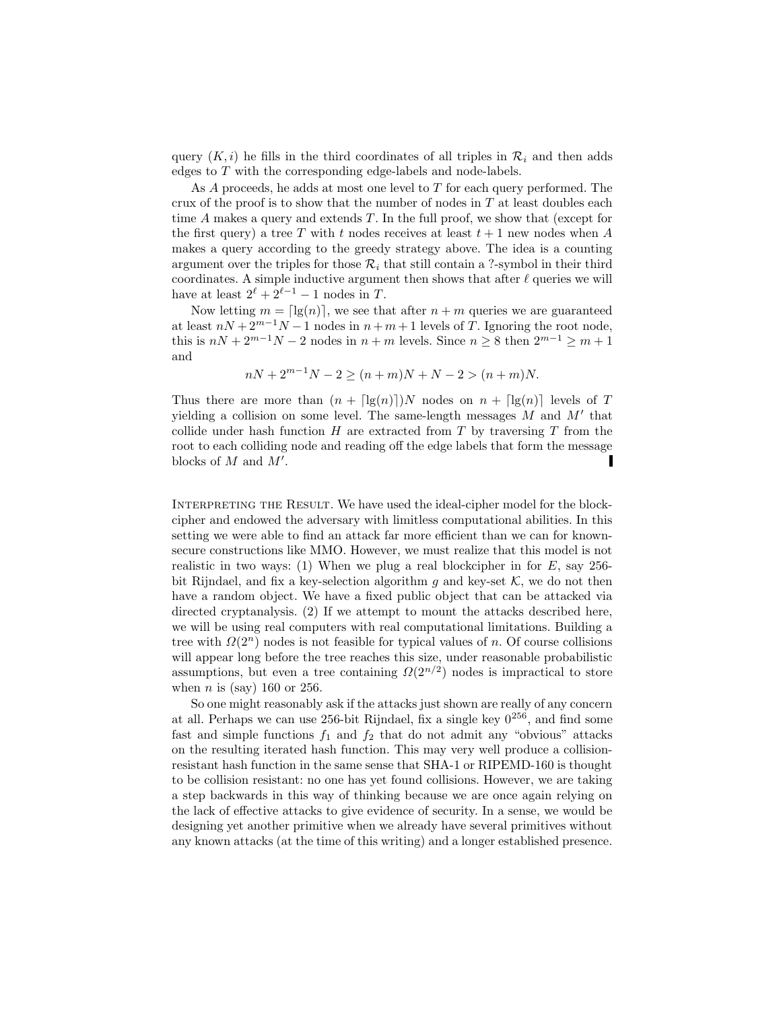query  $(K, i)$  he fills in the third coordinates of all triples in  $\mathcal{R}_i$  and then adds edges to T with the corresponding edge-labels and node-labels.

As A proceeds, he adds at most one level to T for each query performed. The crux of the proof is to show that the number of nodes in  $T$  at least doubles each time A makes a query and extends T. In the full proof, we show that (except for the first query) a tree T with t nodes receives at least  $t + 1$  new nodes when A makes a query according to the greedy strategy above. The idea is a counting argument over the triples for those  $\mathcal{R}_i$  that still contain a ?-symbol in their third coordinates. A simple inductive argument then shows that after  $\ell$  queries we will have at least  $2^{\ell} + 2^{\ell-1} - 1$  nodes in T.

Now letting  $m = \lfloor \lg(n) \rfloor$ , we see that after  $n + m$  queries we are guaranteed at least  $nN + 2^{m-1}N - 1$  nodes in  $n + m + 1$  levels of T. Ignoring the root node, this is  $nN + 2^{m-1}N - 2$  nodes in  $n + m$  levels. Since  $n \ge 8$  then  $2^{m-1} \ge m + 1$ and

$$
nN + 2^{m-1}N - 2 \ge (n+m)N + N - 2 > (n+m)N.
$$

Thus there are more than  $(n + \lceil \lg(n) \rceil)N$  nodes on  $n + \lceil \lg(n) \rceil$  levels of T yielding a collision on some level. The same-length messages  $M$  and  $M'$  that collide under hash function  $H$  are extracted from  $T$  by traversing  $T$  from the root to each colliding node and reading off the edge labels that form the message blocks of  $M$  and  $M'$ . Г

INTERPRETING THE RESULT. We have used the ideal-cipher model for the blockcipher and endowed the adversary with limitless computational abilities. In this setting we were able to find an attack far more efficient than we can for knownsecure constructions like MMO. However, we must realize that this model is not realistic in two ways: (1) When we plug a real blockcipher in for  $E$ , say 256bit Rijndael, and fix a key-selection algorithm g and key-set  $K$ , we do not then have a random object. We have a fixed public object that can be attacked via directed cryptanalysis. (2) If we attempt to mount the attacks described here, we will be using real computers with real computational limitations. Building a tree with  $\Omega(2^n)$  nodes is not feasible for typical values of n. Of course collisions will appear long before the tree reaches this size, under reasonable probabilistic assumptions, but even a tree containing  $\Omega(2^{n/2})$  nodes is impractical to store when  $n$  is (say) 160 or 256.

So one might reasonably ask if the attacks just shown are really of any concern at all. Perhaps we can use 256-bit Rijndael, fix a single key 0 256 , and find some fast and simple functions  $f_1$  and  $f_2$  that do not admit any "obvious" attacks on the resulting iterated hash function. This may very well produce a collisionresistant hash function in the same sense that SHA-1 or RIPEMD-160 is thought to be collision resistant: no one has yet found collisions. However, we are taking a step backwards in this way of thinking because we are once again relying on the lack of effective attacks to give evidence of security. In a sense, we would be designing yet another primitive when we already have several primitives without any known attacks (at the time of this writing) and a longer established presence.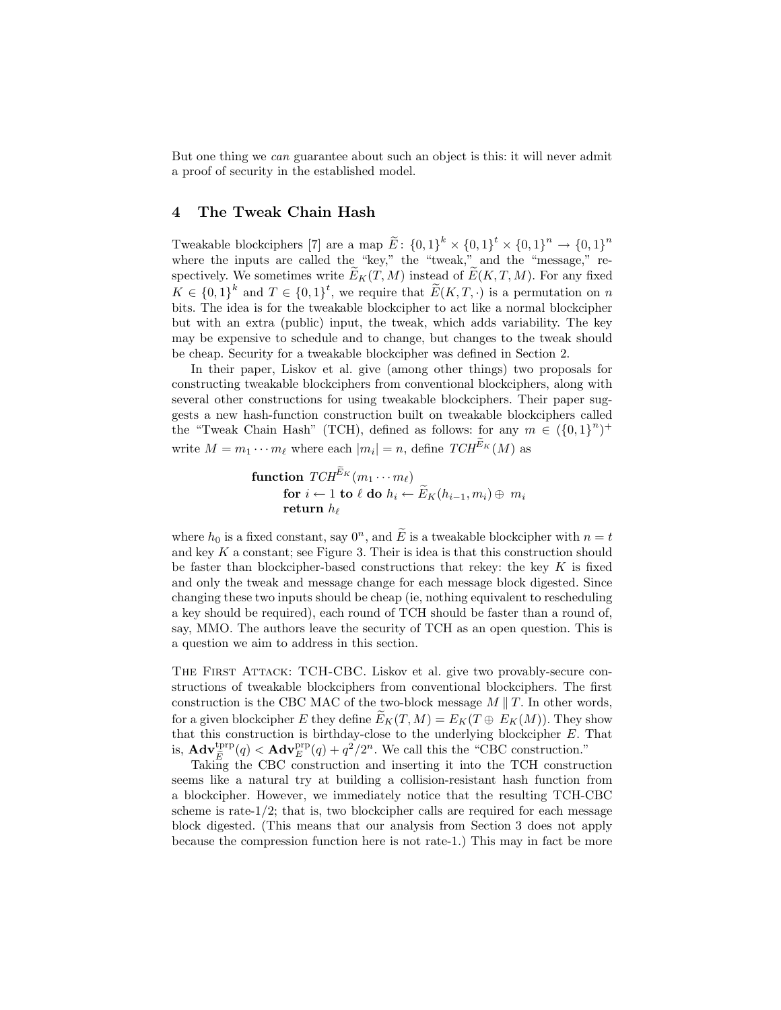But one thing we can guarantee about such an object is this: it will never admit a proof of security in the established model.

#### 4 The Tweak Chain Hash

Tweakable blockciphers [7] are a map  $\widetilde{E}$ :  $\{0,1\}^k \times \{0,1\}^t \times \{0,1\}^n \to \{0,1\}^n$ where the inputs are called the "key," the "tweak," and the "message," respectively. We sometimes write  $\widetilde{E}_K(T,M)$  instead of  $\widetilde{E}(K,T,M)$ . For any fixed  $K \in \{0,1\}^k$  and  $T \in \{0,1\}^t$ , we require that  $\widetilde{E}(K,T,\cdot)$  is a permutation on n bits. The idea is for the tweakable blockcipher to act like a normal blockcipher but with an extra (public) input, the tweak, which adds variability. The key may be expensive to schedule and to change, but changes to the tweak should be cheap. Security for a tweakable blockcipher was defined in Section 2.

In their paper, Liskov et al. give (among other things) two proposals for constructing tweakable blockciphers from conventional blockciphers, along with several other constructions for using tweakable blockciphers. Their paper suggests a new hash-function construction built on tweakable blockciphers called the "Tweak Chain Hash" (TCH), defined as follows: for any  $m \in (\{0,1\}^n)^+$ write  $M = m_1 \cdots m_\ell$  where each  $|m_i| = n$ , define  $TCH^{\widetilde{E}_K}(M)$  as

function 
$$
TCH^{\widetilde{E}_K}(m_1 \cdots m_\ell)
$$
for  $i \leftarrow 1$  to  $\ell$  do  $h_i \leftarrow \widetilde{E}_K(h_{i-1}, m_i) \oplus m_i$  return  $h_\ell$ 

where  $h_0$  is a fixed constant, say  $0^n$ , and  $\tilde{E}$  is a tweakable blockcipher with  $n = t$ and key  $K$  a constant; see Figure 3. Their is idea is that this construction should be faster than blockcipher-based constructions that rekey: the key  $K$  is fixed and only the tweak and message change for each message block digested. Since changing these two inputs should be cheap (ie, nothing equivalent to rescheduling a key should be required), each round of TCH should be faster than a round of, say, MMO. The authors leave the security of TCH as an open question. This is a question we aim to address in this section.

THE FIRST ATTACK: TCH-CBC. Liskov et al. give two provably-secure constructions of tweakable blockciphers from conventional blockciphers. The first construction is the CBC MAC of the two-block message  $M \parallel T$ . In other words, for a given blockcipher E they define  $\widetilde{E}_K(T,M) = E_K(T \oplus E_K(M))$ . They show that this construction is birthday-close to the underlying blockcipher E. That is,  $\mathbf{Adv}_{E}^{\text{tprp}}(q) < \mathbf{Adv}_{E}^{\text{prp}}(q) + q^{2}/2^{n}$ . We call this the "CBC construction."

Taking the CBC construction and inserting it into the TCH construction seems like a natural try at building a collision-resistant hash function from a blockcipher. However, we immediately notice that the resulting TCH-CBC scheme is rate- $1/2$ ; that is, two blockcipher calls are required for each message block digested. (This means that our analysis from Section 3 does not apply because the compression function here is not rate-1.) This may in fact be more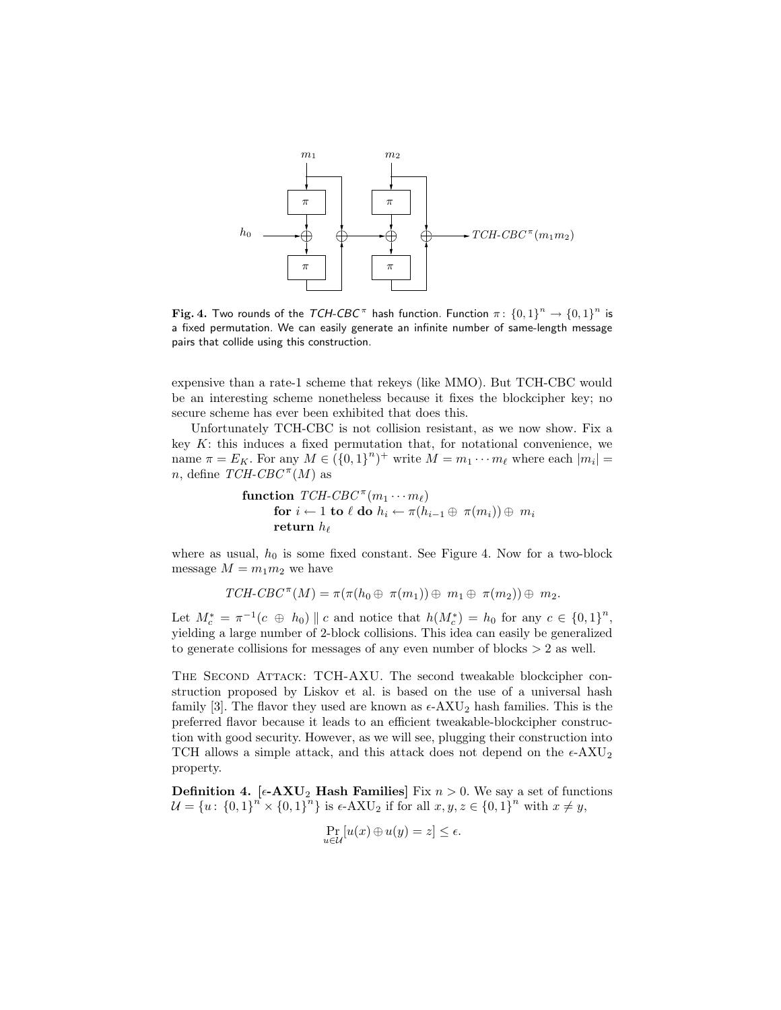

Fig. 4. Two rounds of the  $\mathcal{T}CH\text{-}CBC^\pi$  hash function. Function  $\pi\colon \{0,1\}^n \to \{0,1\}^n$  is a fixed permutation. We can easily generate an infinite number of same-length message pairs that collide using this construction.

expensive than a rate-1 scheme that rekeys (like MMO). But TCH-CBC would be an interesting scheme nonetheless because it fixes the blockcipher key; no secure scheme has ever been exhibited that does this.

Unfortunately TCH-CBC is not collision resistant, as we now show. Fix a key  $K$ : this induces a fixed permutation that, for notational convenience, we name  $\pi = E_K$ . For any  $M \in (\{0,1\}^n)^+$  write  $M = m_1 \cdots m_\ell$  where each  $|m_i| =$ *n*, define  $TCH-CBC^{\pi}(M)$  as

function 
$$
TCH\text{-}CBC^\pi(m_1\cdots m_\ell)
$$
  
for  $i \leftarrow 1$  to  $\ell$  do  $h_i \leftarrow \pi(h_{i-1} \oplus \pi(m_i)) \oplus m_i$   
return  $h_\ell$ 

where as usual,  $h_0$  is some fixed constant. See Figure 4. Now for a two-block message  $M = m_1 m_2$  we have

$$
TCH\text{-}CBC^{\pi}(M) = \pi(\pi(h_0 \oplus \pi(m_1)) \oplus m_1 \oplus \pi(m_2)) \oplus m_2.
$$

Let  $M_c^* = \pi^{-1}(c \oplus h_0) || c$  and notice that  $h(M_c^*) = h_0$  for any  $c \in \{0,1\}^n$ , yielding a large number of 2-block collisions. This idea can easily be generalized to generate collisions for messages of any even number of blocks > 2 as well.

The Second Attack: TCH-AXU. The second tweakable blockcipher construction proposed by Liskov et al. is based on the use of a universal hash family [3]. The flavor they used are known as  $\epsilon$ -AXU<sub>2</sub> hash families. This is the preferred flavor because it leads to an efficient tweakable-blockcipher construction with good security. However, as we will see, plugging their construction into TCH allows a simple attack, and this attack does not depend on the  $\epsilon$ -AXU<sub>2</sub> property.

**Definition 4.** [ $\epsilon$ -**AXU**<sub>2</sub> **Hash Families**] Fix  $n > 0$ . We say a set of functions  $\mathcal{U} = \{u : \{0,1\}^n \times \{0,1\}^n\}$  is  $\epsilon$ -AXU<sub>2</sub> if for all  $x, y, z \in \{0,1\}^n$  with  $x \neq y$ ,

$$
\Pr_{u \in \mathcal{U}}[u(x) \oplus u(y) = z] \le \epsilon.
$$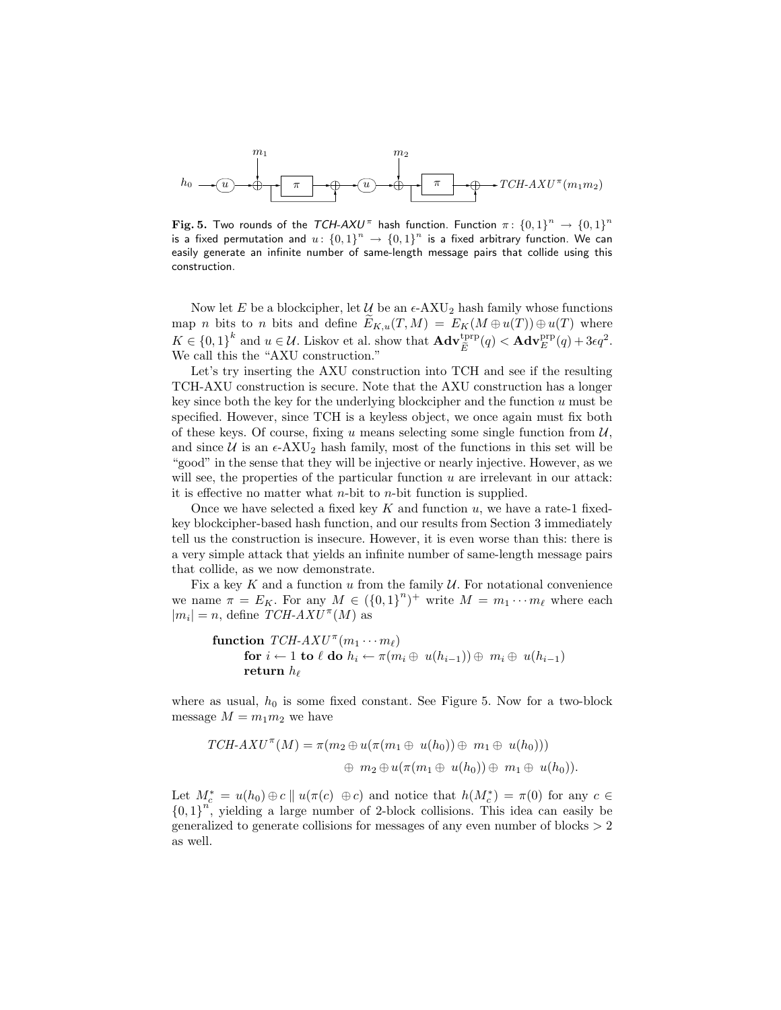$$
h_0 \longrightarrow \underbrace{\begin{array}{c} m_1 \\ \downarrow \\ \downarrow \end{array}}_{h_0 \longrightarrow \underbrace{\begin{array}{c} m_2 \\ \downarrow \\ \downarrow \end{array}}_{h_1 \longrightarrow \underbrace{\begin{array}{c} m_2 \\ \downarrow \\ \downarrow \end{array}}_{h_0 \longrightarrow \underbrace{\begin{array}{c} m_2 \\ \downarrow \\ \downarrow \end{array}}_{h_1 \longrightarrow \underbrace{\begin{array}{c} m_2 \\ \downarrow \\ \downarrow \end{array}}_{h_1 \longrightarrow \underbrace{\begin{array}{c} m_2 \\ \downarrow \\ \downarrow \end{array}}_{h_1 \longrightarrow \underbrace{\begin{array}{c} m_2 \\ \downarrow \\ \downarrow \end{array}}_{h_1 \longrightarrow \underbrace{\begin{array}{c} m_2 \\ \downarrow \\ \downarrow \end{array}}_{h_1 \longrightarrow \underbrace{\begin{array}{c} m_2 \\ \downarrow \\ \downarrow \end{array}}_{h_1 \longrightarrow \underbrace{\begin{array}{c} m_2 \\ \downarrow \\ \downarrow \end{array}}_{h_1 \longrightarrow \underbrace{\begin{array}{c} m_2 \\ \downarrow \\ \downarrow \end{array}}_{h_1 \longrightarrow \underbrace{\begin{array}{c} m_2 \\ \downarrow \\ \downarrow \end{array}}_{h_1 \longrightarrow \underbrace{\begin{array}{c} m_2 \\ \downarrow \\ \downarrow \end{array}}_{h_1 \longrightarrow \underbrace{\begin{array}{c} m_2 \\ \downarrow \\ \downarrow \end{array}}_{h_1 \longrightarrow \underbrace{\begin{array}{c} m_2 \\ \downarrow \\ \downarrow \end{array}}_{h_1 \longrightarrow \underbrace{\begin{array}{c} m_2 \\ \downarrow \\ \downarrow \end{array}}_{h_1 \longrightarrow \underbrace{\begin{array}{c} m_2 \\ \downarrow \\ \downarrow \end{array}}_{h_1 \longrightarrow \underbrace{\begin{array}{c} m_2 \\ \downarrow \\ \downarrow \end{array}}_{h_1 \longrightarrow \underbrace{\begin{array}{c} m_2 \\ \downarrow \\ \downarrow \end{array}}_{h_1 \longrightarrow \underbrace{\begin{array}{c} m_2 \\ \downarrow \\ \downarrow \end{array}}_{h_1 \longrightarrow \underbrace{\begin{array}{c} m_2 \\ \downarrow \\ \downarrow \end{array}}_{h_1 \longrightarrow \underbrace{\begin{array}{c} m_2 \\ \downarrow \\ \downarrow \end{array}}_{h_1 \longrightarrow \underbrace{\begin{array}{c} m_2 \\ \downarrow \\ \downarrow \end{array}}_{h_1 \longrightarrow \underbrace{\begin{array}{c} m_2 \\ \downarrow \\
$$

Fig. 5. Two rounds of the  $TCH-AXU^{\pi}$  hash function. Function  $\pi\colon \{0,1\}^n \to \{0,1\}^n$ is a fixed permutation and  $u\colon \{0,1\}^n \,\to\, \{0,1\}^n$  is a fixed arbitrary function. We can easily generate an infinite number of same-length message pairs that collide using this construction.

Now let E be a blockcipher, let U be an  $\epsilon$ -AXU<sub>2</sub> hash family whose functions map n bits to n bits and define  $E_{K,u}(T,M) = E_K(M \oplus u(T)) \oplus u(T)$  where  $K \in \{0,1\}^k$  and  $u \in \mathcal{U}$ . Liskov et al. show that  $\mathbf{Adv}_{\widetilde{E}}^{\text{prp}}(q) < \mathbf{Adv}_{E}^{\text{prp}}(q) + 3\epsilon q^2$ . We call this the "AXU construction."

Let's try inserting the AXU construction into TCH and see if the resulting TCH-AXU construction is secure. Note that the AXU construction has a longer key since both the key for the underlying blockcipher and the function  $u$  must be specified. However, since TCH is a keyless object, we once again must fix both of these keys. Of course, fixing u means selecting some single function from  $\mathcal{U}$ , and since  $U$  is an  $\epsilon$ -AXU<sub>2</sub> hash family, most of the functions in this set will be "good" in the sense that they will be injective or nearly injective. However, as we will see, the properties of the particular function  $u$  are irrelevant in our attack: it is effective no matter what *n*-bit to *n*-bit function is supplied.

Once we have selected a fixed key K and function  $u$ , we have a rate-1 fixedkey blockcipher-based hash function, and our results from Section 3 immediately tell us the construction is insecure. However, it is even worse than this: there is a very simple attack that yields an infinite number of same-length message pairs that collide, as we now demonstrate.

Fix a key K and a function u from the family  $U$ . For notational convenience we name  $\pi = E_K$ . For any  $M \in (\{0,1\}^n)^+$  write  $M = m_1 \cdots m_\ell$  where each  $|m_i|=n$ , define  $TCH-AXU^{\pi}(M)$  as

function 
$$
TCH-AXU^{\pi}(m_1 \cdots m_{\ell})
$$
  
for  $i \leftarrow 1$  to  $\ell$  do  $h_i \leftarrow \pi(m_i \oplus u(h_{i-1})) \oplus m_i \oplus u(h_{i-1})$   
return  $h_{\ell}$ 

where as usual,  $h_0$  is some fixed constant. See Figure 5. Now for a two-block message  $M = m_1 m_2$  we have

$$
TCH-AXU^{\pi}(M) = \pi(m_2 \oplus u(\pi(m_1 \oplus u(h_0)) \oplus m_1 \oplus u(h_0)))
$$
  

$$
\oplus m_2 \oplus u(\pi(m_1 \oplus u(h_0)) \oplus m_1 \oplus u(h_0)).
$$

Let  $M_c^* = u(h_0) \oplus c \parallel u(\pi(c) \oplus c)$  and notice that  $h(M_c^*) = \pi(0)$  for any  $c \in$  ${0,1}^n$ , yielding a large number of 2-block collisions. This idea can easily be generalized to generate collisions for messages of any even number of blocks  $> 2$ as well.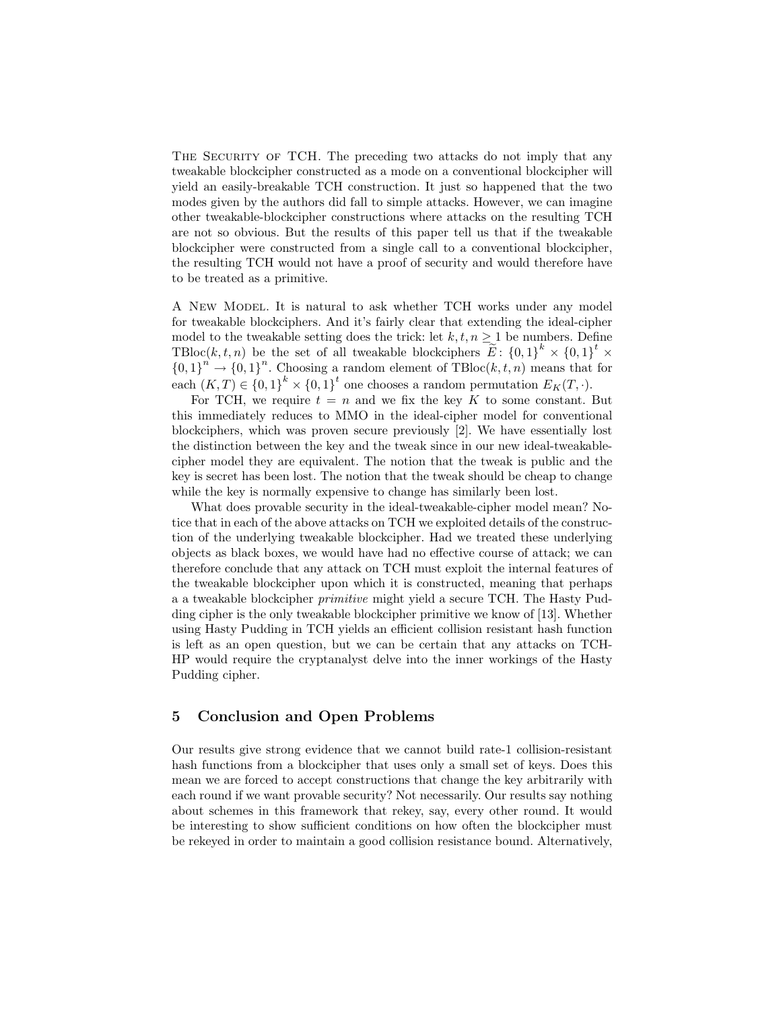The Security of TCH. The preceding two attacks do not imply that any tweakable blockcipher constructed as a mode on a conventional blockcipher will yield an easily-breakable TCH construction. It just so happened that the two modes given by the authors did fall to simple attacks. However, we can imagine other tweakable-blockcipher constructions where attacks on the resulting TCH are not so obvious. But the results of this paper tell us that if the tweakable blockcipher were constructed from a single call to a conventional blockcipher, the resulting TCH would not have a proof of security and would therefore have to be treated as a primitive.

A New Model. It is natural to ask whether TCH works under any model for tweakable blockciphers. And it's fairly clear that extending the ideal-cipher model to the tweakable setting does the trick: let  $k, t, n \geq 1$  be numbers. Define TBloc( $k, t, n$ ) be the set of all tweakable blockciphers  $\tilde{E}$ :  $\{0, 1\}^k \times \{0, 1\}^t \times$  ${0,1}^n \rightarrow {0,1}^n$ . Choosing a random element of TBloc(k, t, n) means that for each  $(K,T) \in \{0,1\}^k \times \{0,1\}^t$  one chooses a random permutation  $E_K(T, \cdot)$ .

For TCH, we require  $t = n$  and we fix the key K to some constant. But this immediately reduces to MMO in the ideal-cipher model for conventional blockciphers, which was proven secure previously [2]. We have essentially lost the distinction between the key and the tweak since in our new ideal-tweakablecipher model they are equivalent. The notion that the tweak is public and the key is secret has been lost. The notion that the tweak should be cheap to change while the key is normally expensive to change has similarly been lost.

What does provable security in the ideal-tweakable-cipher model mean? Notice that in each of the above attacks on TCH we exploited details of the construction of the underlying tweakable blockcipher. Had we treated these underlying objects as black boxes, we would have had no effective course of attack; we can therefore conclude that any attack on TCH must exploit the internal features of the tweakable blockcipher upon which it is constructed, meaning that perhaps a a tweakable blockcipher primitive might yield a secure TCH. The Hasty Pudding cipher is the only tweakable blockcipher primitive we know of [13]. Whether using Hasty Pudding in TCH yields an efficient collision resistant hash function is left as an open question, but we can be certain that any attacks on TCH-HP would require the cryptanalyst delve into the inner workings of the Hasty Pudding cipher.

#### 5 Conclusion and Open Problems

Our results give strong evidence that we cannot build rate-1 collision-resistant hash functions from a blockcipher that uses only a small set of keys. Does this mean we are forced to accept constructions that change the key arbitrarily with each round if we want provable security? Not necessarily. Our results say nothing about schemes in this framework that rekey, say, every other round. It would be interesting to show sufficient conditions on how often the blockcipher must be rekeyed in order to maintain a good collision resistance bound. Alternatively,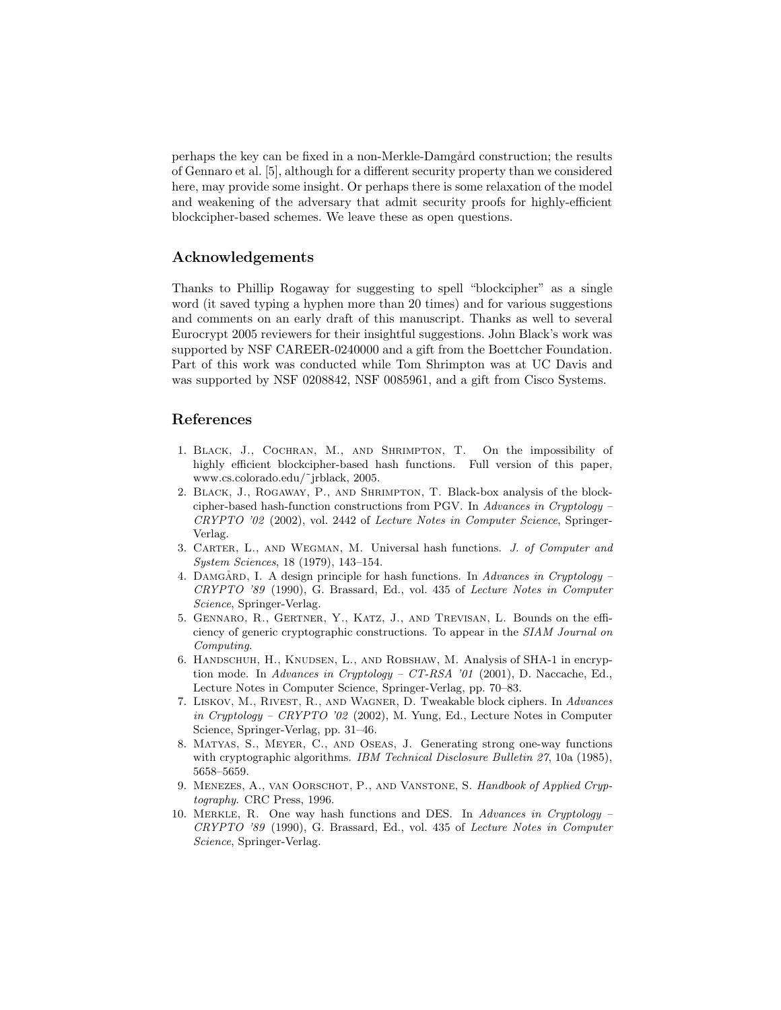perhaps the key can be fixed in a non-Merkle-Damg˚ard construction; the results of Gennaro et al. [5], although for a different security property than we considered here, may provide some insight. Or perhaps there is some relaxation of the model and weakening of the adversary that admit security proofs for highly-efficient blockcipher-based schemes. We leave these as open questions.

### Acknowledgements

Thanks to Phillip Rogaway for suggesting to spell "blockcipher" as a single word (it saved typing a hyphen more than 20 times) and for various suggestions and comments on an early draft of this manuscript. Thanks as well to several Eurocrypt 2005 reviewers for their insightful suggestions. John Black's work was supported by NSF CAREER-0240000 and a gift from the Boettcher Foundation. Part of this work was conducted while Tom Shrimpton was at UC Davis and was supported by NSF 0208842, NSF 0085961, and a gift from Cisco Systems.

## References

- 1. Black, J., Cochran, M., and Shrimpton, T. On the impossibility of highly efficient blockcipher-based hash functions. Full version of this paper, www.cs.colorado.edu/˜jrblack, 2005.
- 2. Black, J., Rogaway, P., and Shrimpton, T. Black-box analysis of the blockcipher-based hash-function constructions from PGV. In Advances in Cryptology – CRYPTO '02 (2002), vol. 2442 of Lecture Notes in Computer Science, Springer-Verlag.
- 3. CARTER, L., AND WEGMAN, M. Universal hash functions. J. of Computer and System Sciences, 18 (1979), 143–154.
- 4. DAMGÅRD, I. A design principle for hash functions. In Advances in Cryptology CRYPTO '89 (1990), G. Brassard, Ed., vol. 435 of Lecture Notes in Computer Science, Springer-Verlag.
- 5. Gennaro, R., Gertner, Y., Katz, J., and Trevisan, L. Bounds on the efficiency of generic cryptographic constructions. To appear in the SIAM Journal on Computing.
- 6. Handschuh, H., Knudsen, L., and Robshaw, M. Analysis of SHA-1 in encryption mode. In Advances in Cryptology - CT-RSA '01 (2001), D. Naccache, Ed., Lecture Notes in Computer Science, Springer-Verlag, pp. 70–83.
- 7. Liskov, M., Rivest, R., and Wagner, D. Tweakable block ciphers. In Advances in Cryptology – CRYPTO '02 (2002), M. Yung, Ed., Lecture Notes in Computer Science, Springer-Verlag, pp. 31–46.
- 8. Matyas, S., Meyer, C., and Oseas, J. Generating strong one-way functions with cryptographic algorithms. IBM Technical Disclosure Bulletin 27, 10a (1985), 5658–5659.
- 9. MENEZES, A., VAN OORSCHOT, P., AND VANSTONE, S. Handbook of Applied Cryptography. CRC Press, 1996.
- 10. Merkle, R. One way hash functions and DES. In Advances in Cryptology CRYPTO '89 (1990), G. Brassard, Ed., vol. 435 of Lecture Notes in Computer Science, Springer-Verlag.